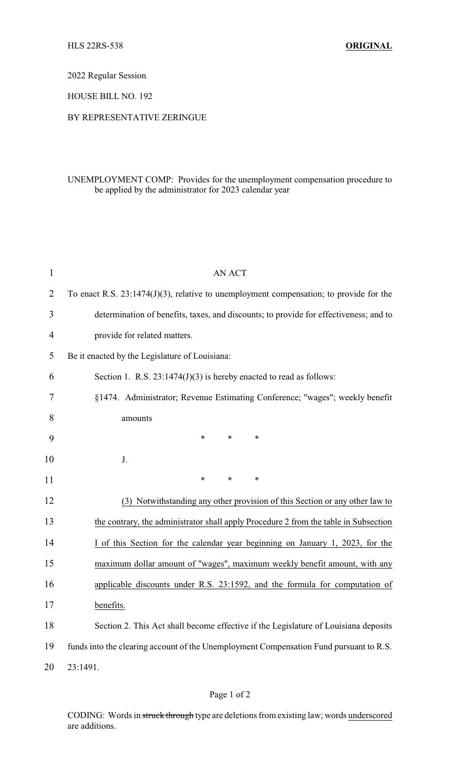2022 Regular Session

HOUSE BILL NO. 192

## BY REPRESENTATIVE ZERINGUE

## UNEMPLOYMENT COMP: Provides for the unemployment compensation procedure to be applied by the administrator for 2023 calendar year

| $\mathbf{1}$ | <b>AN ACT</b>                                                                             |
|--------------|-------------------------------------------------------------------------------------------|
| 2            | To enact R.S. $23:1474(J)(3)$ , relative to unemployment compensation; to provide for the |
| 3            | determination of benefits, taxes, and discounts; to provide for effectiveness; and to     |
| 4            | provide for related matters.                                                              |
| 5            | Be it enacted by the Legislature of Louisiana:                                            |
| 6            | Section 1. R.S. $23:1474(J)(3)$ is hereby enacted to read as follows:                     |
| 7            | §1474. Administrator; Revenue Estimating Conference; "wages"; weekly benefit              |
| 8            | amounts                                                                                   |
| 9            | $\ast$<br>$\ast$<br>∗                                                                     |
| 10           | J.                                                                                        |
| 11           | $\ast$<br>$\ast$<br>∗                                                                     |
| 12           | (3) Notwithstanding any other provision of this Section or any other law to               |
| 13           | the contrary, the administrator shall apply Procedure 2 from the table in Subsection      |
| 14           | I of this Section for the calendar year beginning on January 1, 2023, for the             |
| 15           | maximum dollar amount of "wages", maximum weekly benefit amount, with any                 |
| 16           | applicable discounts under R.S. 23:1592, and the formula for computation of               |
| 17           | benefits.                                                                                 |
| 18           | Section 2. This Act shall become effective if the Legislature of Louisiana deposits       |
| 19           | funds into the clearing account of the Unemployment Compensation Fund pursuant to R.S.    |
| 20           | 23:1491.                                                                                  |

CODING: Words in struck through type are deletions from existing law; words underscored are additions.